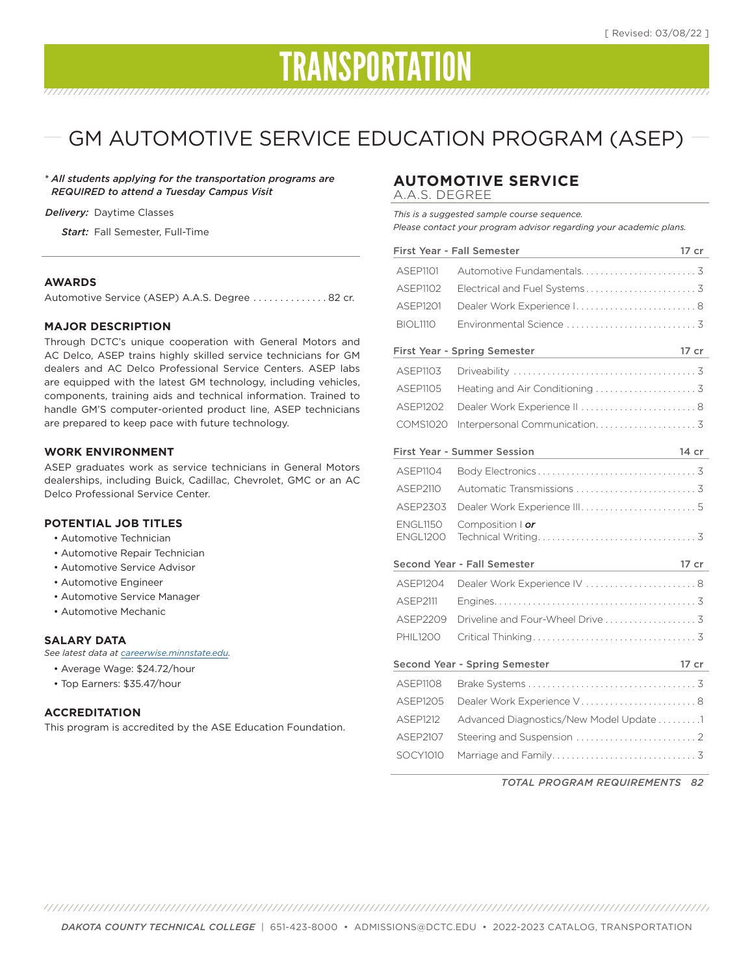# TRANSPORTATION

## GM AUTOMOTIVE SERVICE EDUCATION PROGRAM (ASEP)

*\* All students applying for the transportation programs are REQUIRED to attend a Tuesday Campus Visit*

#### *Delivery:* Daytime Classes

*Start:* Fall Semester, Full-Time

#### **AWARDS**

Automotive Service (ASEP) A.A.S. Degree .............. 82 cr.

#### **MAJOR DESCRIPTION**

Through DCTC's unique cooperation with General Motors and AC Delco, ASEP trains highly skilled service technicians for GM dealers and AC Delco Professional Service Centers. ASEP labs are equipped with the latest GM technology, including vehicles, components, training aids and technical information. Trained to handle GM'S computer-oriented product line, ASEP technicians are prepared to keep pace with future technology.

#### **WORK ENVIRONMENT**

ASEP graduates work as service technicians in General Motors dealerships, including Buick, Cadillac, Chevrolet, GMC or an AC Delco Professional Service Center.

#### **POTENTIAL JOB TITLES**

- Automotive Technician
- Automotive Repair Technician
- Automotive Service Advisor
- Automotive Engineer
- Automotive Service Manager
- Automotive Mechanic

#### **SALARY DATA**

*See latest data at careerwise.minnstate.edu.*

- Average Wage: \$24.72/hour
- Top Earners: \$35.47/hour

#### **ACCREDITATION**

This program is accredited by the ASE Education Foundation.

### **AUTOMOTIVE SERVICE**

A.A.S. DEGREE

*This is a suggested sample course sequence. Please contact your program advisor regarding your academic plans.*

| <b>First Year - Fall Semester</b><br>$17$ cr<br><u> 1980 - Johann Barbara, martin a</u>                        |                                         |       |
|----------------------------------------------------------------------------------------------------------------|-----------------------------------------|-------|
| ASEP1101                                                                                                       |                                         |       |
| ASEP1102                                                                                                       |                                         |       |
| ASEP1201                                                                                                       | Dealer Work Experience I8               |       |
| <b>BIOL1110</b>                                                                                                |                                         |       |
| <b>First Year - Spring Semester</b><br><u> 1980 - Johann Barbara, martin d</u>                                 |                                         | 17 cr |
| ASEP1103                                                                                                       |                                         |       |
| <b>ASEP1105</b>                                                                                                |                                         |       |
| <b>ASEP1202</b>                                                                                                | Dealer Work Experience II  8            |       |
| <b>COMS1020</b>                                                                                                |                                         |       |
| <b>First Year - Summer Session</b><br>14 cr<br><u> 1980 - Johann Barn, mars an t-Amerikaansk kommunister (</u> |                                         |       |
| ASFP1104                                                                                                       |                                         |       |
| <b>ASEP2110</b>                                                                                                |                                         |       |
| ASEP2303                                                                                                       |                                         |       |
| <b>ENGL1150</b>                                                                                                | Composition $\log$                      |       |
| <b>ENGL1200</b>                                                                                                |                                         |       |
|                                                                                                                | Second Year - Fall Semester             |       |
| ASFP1204                                                                                                       | Dealer Work Experience IV  8            |       |
| <b>ASEP2111</b>                                                                                                |                                         |       |
| ASEP2209                                                                                                       |                                         |       |
| <b>PHIL1200</b>                                                                                                |                                         |       |
|                                                                                                                |                                         |       |
|                                                                                                                | Second Year - Spring Semester           | 17 cr |
| <b>ASEP1108</b>                                                                                                |                                         |       |
| ASEP1205                                                                                                       | Dealer Work Experience V8               |       |
| <b>ASEP1212</b>                                                                                                | Advanced Diagnostics/New Model Update 1 |       |
| ASFP2107                                                                                                       |                                         |       |
| SOCY1010                                                                                                       |                                         |       |

*TOTAL PROGRAM REQUIREMENTS 82*

*DAKOTA COUNTY TECHNICAL COLLEGE* | 651-423-8000 • ADMISSIONS@DCTC.EDU • 2022-2023 CATALOG, TRANSPORTATION